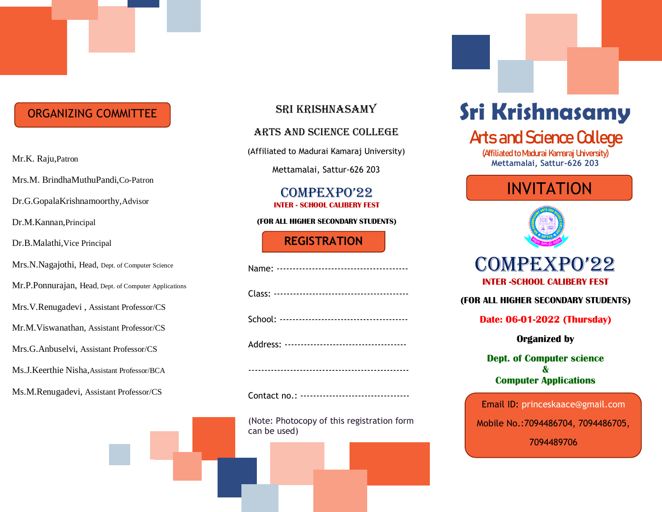# ORGANIZING COMMITTEE

Mrs.M. BrindhaMuthuPandi,Co-Patron

Dr.G.GopalaKrishnamoorthy,Advisor

Dr.M.Kannan,Principal

Dr.B.Malathi,Vice Principal

Mrs.N.Nagajothi, Head, Dept. of Computer Science

Mr.P.Ponnurajan, Head, Dept. of Computer Applications

Mrs.V.Renugadevi , Assistant Professor/CS

Mr.M.Viswanathan, Assistant Professor/CS

Mrs.G.Anbuselvi, Assistant Professor/CS

Ms.J.Keerthie Nisha,Assistant Professor/BCA

Ms.M.Renugadevi, Assistant Professor/CS

## Sri Krishnasamy

#### Arts and Science College

(Affiliated to Madurai Kamaraj University)

Mettamalai, Sattur-626 203

#### COMPEXPO'22 **INTER - SCHOOL CALIBERY FEST**

#### **(FOR ALL HIGHER SECONDARY STUDENTS)**

### **REGISTRATION FORM**

Contact no.: ----------------------------------

(Note: Photocopy of this registration form can be used)

# **Sri Krishnasamy**

# **Arts and Science College**

**(Affiliated to Madurai Kamaraj University)** Mr.K. Raju,Patron **Mettamalai, Sattur-626 203** 

# INVITATION



# COMPEXPO'22 **INTER -SCHOOL CALIBERY FEST**

**(FOR ALL HIGHER SECONDARY STUDENTS)**

**Date: 06-01-2022 (Thursday)**

**Organized by**

**Dept. of Computer science & Computer Applications**

Email ID: [princeskaace@gmail.com](mailto:princeskaace@gmail.com) Mobile No.:7094486704, 7094486705, 7094489706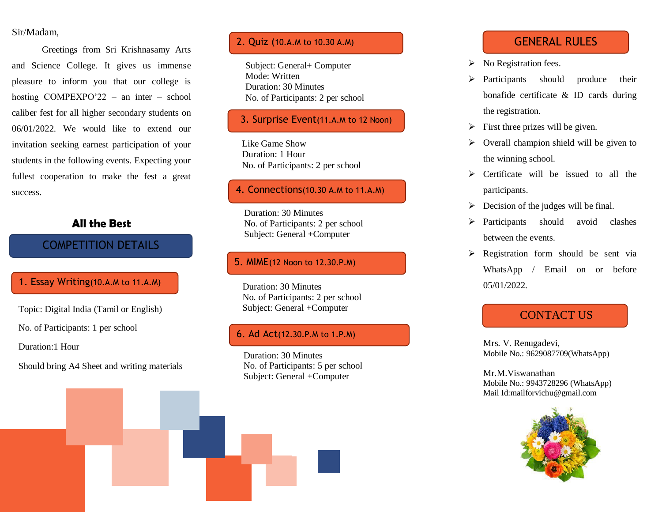#### Sir/Madam ,

Greetings from Sri Krishnasamy Arts and Science College. It gives us immense pleasure to inform you that our college is hosting COMPEXPO'22 – an inter – school caliber fest for all higher secondary students on 06/01/2022. We would like to extend our invitation seeking earnest participation of your students in the following events. Expecting your fullest cooperation to make the fest a great success .

#### **All the Best**

# COMPETITION DETAILS

#### 1. Essay Writing(10.A.M to 11.A.M)

Topic: Digital India (Tamil or English)

No. of Participants: 1 per school

Duration:1 Hour

Should bring A4 Sheet and writing materials

#### 2. Quiz (10.A.M to 10.30 A.M)

Subject: General+ Computer Mode: Written Duration: 30 Minutes No. of Participants: 2 per school

#### 3. Surprise Event(1 1.A.M to 12 Noon )

Like Game Show Duration: 1 Hour No. of Participants: 2 per school

#### 4. Connections(10.30 A.M to 11.A.M)

Duration: 30 Minutes No. of Participants: 2 per school Subject: General +Computer

#### 5. MIME(12 Noon to 12.30 . P.M)

Duration: 30 Minutes No. of Participants: 2 per school Subject: General +Computer

#### 6. Ad Act(12.30 . P.M to 1. P.M)

Duration: 30 Minutes No. of Participants: 5 per school Subject: General +Computer

## GENERAL RULES

- > No Registration fees.
- $\triangleright$  Participants should produce their bonafide certificate & ID cards during the registration.
- $\triangleright$  First three prizes will be given.
- $\triangleright$  Overall champion shield will be given to the winning school.
- $\triangleright$  Certificate will be issued to all the participants.
- $\triangleright$  Decision of the judges will be final.
- > Participants should avoid clashes between the events.
- $\triangleright$  Registration form should be sent via WhatsApp / Email on or before 05/01/2022.

# CONTACT US

Mrs. V. Renugadevi, Mobile No.: 9629087709(WhatsApp)

Mr.M.Viswanathan Mobile No.: 9943728296 (WhatsApp ) Mail I[d:mailforvichu@gmail.com](mailto:mailforvichu@gmail.com)